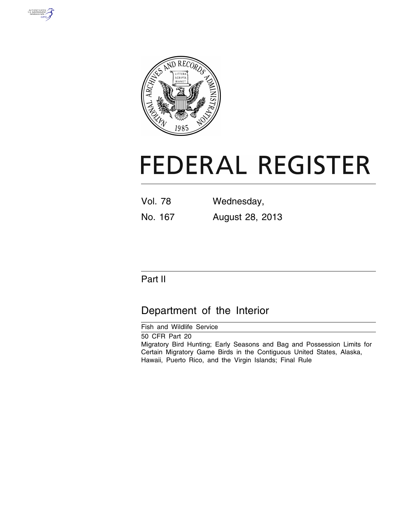



# **FEDERAL REGISTER**

| Vol. 78 | Wednesday,      |
|---------|-----------------|
| No. 167 | August 28, 2013 |

# Part II

# Department of the Interior

Fish and Wildlife Service

50 CFR Part 20 Migratory Bird Hunting; Early Seasons and Bag and Possession Limits for Certain Migratory Game Birds in the Contiguous United States, Alaska, Hawaii, Puerto Rico, and the Virgin Islands; Final Rule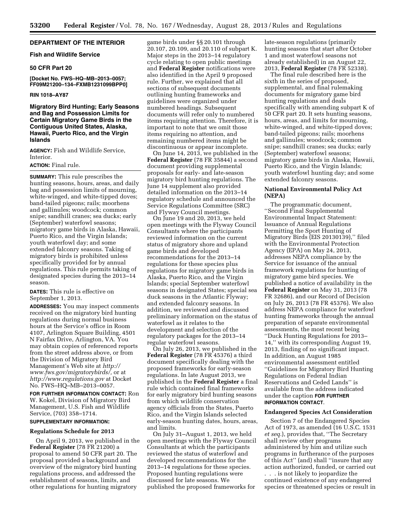# **DEPARTMENT OF THE INTERIOR**

# **Fish and Wildlife Service**

#### **50 CFR Part 20**

**[Docket No. FWS–HQ–MB–2013–0057; FF09M21200–134–FXMB1231099BPP0]** 

#### **RIN 1018–AY87**

**Migratory Bird Hunting; Early Seasons and Bag and Possession Limits for Certain Migratory Game Birds in the Contiguous United States, Alaska, Hawaii, Puerto Rico, and the Virgin Islands** 

**AGENCY:** Fish and Wildlife Service, Interior.

# **ACTION:** Final rule.

**SUMMARY:** This rule prescribes the hunting seasons, hours, areas, and daily bag and possession limits of mourning, white-winged, and white-tipped doves; band-tailed pigeons; rails; moorhens and gallinules; woodcock; common snipe; sandhill cranes; sea ducks; early (September) waterfowl seasons; migratory game birds in Alaska, Hawaii, Puerto Rico, and the Virgin Islands; youth waterfowl day; and some extended falconry seasons. Taking of migratory birds is prohibited unless specifically provided for by annual regulations. This rule permits taking of designated species during the 2013–14 season.

**DATES:** This rule is effective on September 1, 2013.

**ADDRESSES:** You may inspect comments received on the migratory bird hunting regulations during normal business hours at the Service's office in Room 4107, Arlington Square Building, 4501 N Fairfax Drive, Arlington, VA. You may obtain copies of referenced reports from the street address above, or from the Division of Migratory Bird Management's Web site at *[http://](http://www.fws.gov/migratorybirds/) [www.fws.gov/migratorybirds/,](http://www.fws.gov/migratorybirds/)* or at *<http://www.regulations.gov>* at Docket No. FWS–HQ–MB–2013–0057.

**FOR FURTHER INFORMATION CONTACT:** Ron W. Kokel, Division of Migratory Bird Management, U.S. Fish and Wildlife Service, (703) 358–1714.

# **SUPPLEMENTARY INFORMATION:**

#### **Regulations Schedule for 2013**

On April 9, 2013, we published in the **Federal Register** (78 FR 21200) a proposal to amend 50 CFR part 20. The proposal provided a background and overview of the migratory bird hunting regulations process, and addressed the establishment of seasons, limits, and other regulations for hunting migratory

game birds under §§ 20.101 through 20.107, 20.109, and 20.110 of subpart K. Major steps in the 2013–14 regulatory cycle relating to open public meetings and **Federal Register** notifications were also identified in the April 9 proposed rule. Further, we explained that all sections of subsequent documents outlining hunting frameworks and guidelines were organized under numbered headings. Subsequent documents will refer only to numbered items requiring attention. Therefore, it is important to note that we omit those items requiring no attention, and remaining numbered items might be discontinuous or appear incomplete.

On June 14, 2013, we published in the **Federal Register** (78 FR 35844) a second document providing supplemental proposals for early- and late-season migratory bird hunting regulations. The June 14 supplement also provided detailed information on the 2013–14 regulatory schedule and announced the Service Regulations Committee (SRC) and Flyway Council meetings.

On June 19 and 20, 2013, we held open meetings with the Flyway Council Consultants where the participants reviewed information on the current status of migratory shore and upland game birds and developed recommendations for the 2013–14 regulations for these species plus regulations for migratory game birds in Alaska, Puerto Rico, and the Virgin Islands; special September waterfowl seasons in designated States; special sea duck seasons in the Atlantic Flyway; and extended falconry seasons. In addition, we reviewed and discussed preliminary information on the status of waterfowl as it relates to the development and selection of the regulatory packages for the 2013–14 regular waterfowl seasons.

On July 26, 2013, we published in the **Federal Register** (78 FR 45376) a third document specifically dealing with the proposed frameworks for early-season regulations. In late August 2013, we published in the **Federal Register** a final rule which contained final frameworks for early migratory bird hunting seasons from which wildlife conservation agency officials from the States, Puerto Rico, and the Virgin Islands selected early-season hunting dates, hours, areas, and limits.

On July 31–August 1, 2013, we held open meetings with the Flyway Council Consultants at which the participants reviewed the status of waterfowl and developed recommendations for the 2013–14 regulations for these species. Proposed hunting regulations were discussed for late seasons. We published the proposed frameworks for

late-season regulations (primarily hunting seasons that start after October 1 and most waterfowl seasons not already established) in an August 22, 2013, **Federal Register** (78 FR 52338).

The final rule described here is the sixth in the series of proposed, supplemental, and final rulemaking documents for migratory game bird hunting regulations and deals specifically with amending subpart K of 50 CFR part 20. It sets hunting seasons, hours, areas, and limits for mourning, white-winged, and white-tipped doves; band-tailed pigeons; rails; moorhens and gallinules; woodcock; common snipe; sandhill cranes; sea ducks; early (September) waterfowl seasons; migratory game birds in Alaska, Hawaii, Puerto Rico, and the Virgin Islands; youth waterfowl hunting day; and some extended falconry seasons.

# **National Environmental Policy Act (NEPA)**

The programmatic document, ''Second Final Supplemental Environmental Impact Statement: Issuance of Annual Regulations Permitting the Sport Hunting of Migratory Birds (EIS 20130139),'' filed with the Environmental Protection Agency (EPA) on May 24, 2013, addresses NEPA compliance by the Service for issuance of the annual framework regulations for hunting of migratory game bird species. We published a notice of availability in the **Federal Register** on May 31, 2013 (78 FR 32686), and our Record of Decision on July 26, 2013 (78 FR 45376). We also address NEPA compliance for waterfowl hunting frameworks through the annual preparation of separate environmental assessments, the most recent being ''Duck Hunting Regulations for 2013– 14,'' with its corresponding August 19, 2013, finding of no significant impact. In addition, an August 1985 environmental assessment entitled ''Guidelines for Migratory Bird Hunting Regulations on Federal Indian Reservations and Ceded Lands'' is available from the address indicated under the caption **FOR FURTHER INFORMATION CONTACT**.

#### **Endangered Species Act Consideration**

Section 7 of the Endangered Species Act of 1973, as amended (16 U.S.C. 1531 *et seq.*), provides that, ''The Secretary shall review other programs administered by him and utilize such programs in furtherance of the purposes of this Act'' (and) shall ''insure that any action authorized, funded, or carried out

. . . is not likely to jeopardize the continued existence of any endangered species or threatened species or result in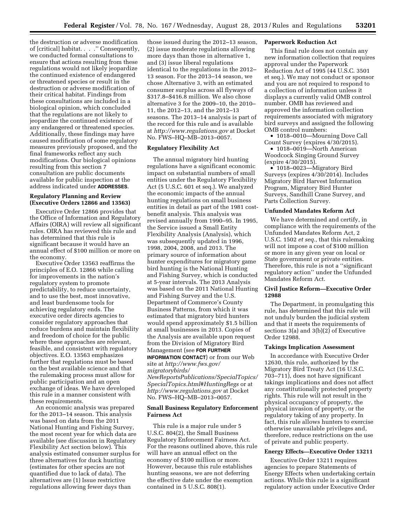the destruction or adverse modification of [critical] habitat. . . .'' Consequently, we conducted formal consultations to ensure that actions resulting from these regulations would not likely jeopardize the continued existence of endangered or threatened species or result in the destruction or adverse modification of their critical habitat. Findings from these consultations are included in a biological opinion, which concluded that the regulations are not likely to jeopardize the continued existence of any endangered or threatened species. Additionally, these findings may have caused modification of some regulatory measures previously proposed, and the final frameworks reflect any such modifications. Our biological opinions resulting from this section 7 consultation are public documents available for public inspection at the address indicated under **ADDRESSES**.

# **Regulatory Planning and Review (Executive Orders 12866 and 13563)**

Executive Order 12866 provides that the Office of Information and Regulatory Affairs (OIRA) will review all significant rules. OIRA has reviewed this rule and has determined that this rule is significant because it would have an annual effect of \$100 million or more on the economy.

Executive Order 13563 reaffirms the principles of E.O. 12866 while calling for improvements in the nation's regulatory system to promote predictability, to reduce uncertainty, and to use the best, most innovative, and least burdensome tools for achieving regulatory ends. The executive order directs agencies to consider regulatory approaches that reduce burdens and maintain flexibility and freedom of choice for the public where these approaches are relevant, feasible, and consistent with regulatory objectives. E.O. 13563 emphasizes further that regulations must be based on the best available science and that the rulemaking process must allow for public participation and an open exchange of ideas. We have developed this rule in a manner consistent with these requirements.

An economic analysis was prepared for the 2013–14 season. This analysis was based on data from the 2011 National Hunting and Fishing Survey, the most recent year for which data are available (see discussion in Regulatory Flexibility Act section below). This analysis estimated consumer surplus for three alternatives for duck hunting (estimates for other species are not quantified due to lack of data). The alternatives are (1) Issue restrictive regulations allowing fewer days than

those issued during the 2012–13 season, (2) issue moderate regulations allowing more days than those in alternative 1, and (3) issue liberal regulations identical to the regulations in the 2012– 13 season. For the 2013–14 season, we chose Alternative 3, with an estimated consumer surplus across all flyways of \$317.8–\$416.8 million. We also chose alternative 3 for the 2009–10, the 2010– 11, the 2012–13, and the 2012–13 seasons. The 2013–14 analysis is part of the record for this rule and is available at *<http://www.regulations.gov>* at Docket No. FWS–HQ–MB–2013–0057.

# **Regulatory Flexibility Act**

The annual migratory bird hunting regulations have a significant economic impact on substantial numbers of small entities under the Regulatory Flexibility Act (5 U.S.C. 601 et seq.). We analyzed the economic impacts of the annual hunting regulations on small business entities in detail as part of the 1981 costbenefit analysis. This analysis was revised annually from 1990–95. In 1995, the Service issued a Small Entity Flexibility Analysis (Analysis), which was subsequently updated in 1996, 1998, 2004, 2008, and 2013. The primary source of information about hunter expenditures for migratory game bird hunting is the National Hunting and Fishing Survey, which is conducted at 5-year intervals. The 2013 Analysis was based on the 2011 National Hunting and Fishing Survey and the U.S. Department of Commerce's County Business Patterns, from which it was estimated that migratory bird hunters would spend approximately \$1.5 billion at small businesses in 2013. Copies of the Analysis are available upon request from the Division of Migratory Bird Management (see **FOR FURTHER**

**INFORMATION CONTACT**) or from our Web site at *[http://www.fws.gov/](http://www.fws.gov/migratorybirds/NewReportsPublications/SpecialTopics/SpecialTopics.html#HuntingRegs) [migratorybirds/](http://www.fws.gov/migratorybirds/NewReportsPublications/SpecialTopics/SpecialTopics.html#HuntingRegs) [NewReportsPublications/SpecialTopics/](http://www.fws.gov/migratorybirds/NewReportsPublications/SpecialTopics/SpecialTopics.html#HuntingRegs) [SpecialTopics.html#HuntingRegs](http://www.fws.gov/migratorybirds/NewReportsPublications/SpecialTopics/SpecialTopics.html#HuntingRegs)* or at *<http://www.regulations.gov>* at Docket No. FWS–HQ–MB–2013–0057.

# **Small Business Regulatory Enforcement Fairness Act**

This rule is a major rule under 5 U.S.C. 804(2), the Small Business Regulatory Enforcement Fairness Act. For the reasons outlined above, this rule will have an annual effect on the economy of \$100 million or more. However, because this rule establishes hunting seasons, we are not deferring the effective date under the exemption contained in 5 U.S.C. 808(1).

# **Paperwork Reduction Act**

This final rule does not contain any new information collection that requires approval under the Paperwork Reduction Act of 1995 (44 U.S.C. 3501 et seq.). We may not conduct or sponsor and you are not required to respond to a collection of information unless it displays a currently valid OMB control number. OMB has reviewed and approved the information collection requirements associated with migratory bird surveys and assigned the following OMB control numbers:

• 1018-0010—Mourning Dove Call Count Survey (expires 4/30/2015).

• 1018–0019—North American Woodcock Singing Ground Survey (expire 4/30/2015).

• 1018–0023—Migratory Bird Surveys (expires 4/30/2014). Includes Migratory Bird Harvest Information Program, Migratory Bird Hunter Surveys, Sandhill Crane Survey, and Parts Collection Survey.

# **Unfunded Mandates Reform Act**

We have determined and certify, in compliance with the requirements of the Unfunded Mandates Reform Act, 2 U.S.C. 1502 *et seq.,* that this rulemaking will not impose a cost of \$100 million or more in any given year on local or State government or private entities. Therefore, this rule is not a ''significant regulatory action'' under the Unfunded Mandates Reform Act.

# **Civil Justice Reform—Executive Order 12988**

The Department, in promulgating this rule, has determined that this rule will not unduly burden the judicial system and that it meets the requirements of sections 3(a) and 3(b)(2) of Executive Order 12988.

#### **Takings Implication Assessment**

In accordance with Executive Order 12630, this rule, authorized by the Migratory Bird Treaty Act (16 U.S.C. 703–711), does not have significant takings implications and does not affect any constitutionally protected property rights. This rule will not result in the physical occupancy of property, the physical invasion of property, or the regulatory taking of any property. In fact, this rule allows hunters to exercise otherwise unavailable privileges and, therefore, reduce restrictions on the use of private and public property.

#### **Energy Effects—Executive Order 13211**

Executive Order 13211 requires agencies to prepare Statements of Energy Effects when undertaking certain actions. While this rule is a significant regulatory action under Executive Order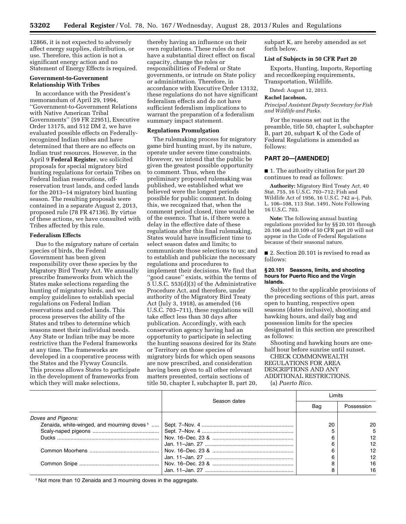12866, it is not expected to adversely affect energy supplies, distribution, or use. Therefore, this action is not a significant energy action and no Statement of Energy Effects is required.

# **Government-to-Government Relationship With Tribes**

In accordance with the President's memorandum of April 29, 1994, ''Government-to-Government Relations with Native American Tribal Governments'' (59 FR 22951), Executive Order 13175, and 512 DM 2, we have evaluated possible effects on Federallyrecognized Indian tribes and have determined that there are no effects on Indian trust resources. However, in the April 9 **Federal Register**, we solicited proposals for special migratory bird hunting regulations for certain Tribes on Federal Indian reservations, offreservation trust lands, and ceded lands for the 2013–14 migratory bird hunting season. The resulting proposals were contained in a separate August 2, 2013, proposed rule (78 FR 47136). By virtue of these actions, we have consulted with Tribes affected by this rule.

## **Federalism Effects**

Due to the migratory nature of certain species of birds, the Federal Government has been given responsibility over these species by the Migratory Bird Treaty Act. We annually prescribe frameworks from which the States make selections regarding the hunting of migratory birds, and we employ guidelines to establish special regulations on Federal Indian reservations and ceded lands. This process preserves the ability of the States and tribes to determine which seasons meet their individual needs. Any State or Indian tribe may be more restrictive than the Federal frameworks at any time. The frameworks are developed in a cooperative process with the States and the Flyway Councils. This process allows States to participate in the development of frameworks from which they will make selections,

thereby having an influence on their own regulations. These rules do not have a substantial direct effect on fiscal capacity, change the roles or responsibilities of Federal or State governments, or intrude on State policy or administration. Therefore, in accordance with Executive Order 13132, these regulations do not have significant federalism effects and do not have sufficient federalism implications to warrant the preparation of a federalism summary impact statement.

#### **Regulations Promulgation**

The rulemaking process for migratory game bird hunting must, by its nature, operate under severe time constraints. However, we intend that the public be given the greatest possible opportunity to comment. Thus, when the preliminary proposed rulemaking was published, we established what we believed were the longest periods possible for public comment. In doing this, we recognized that, when the comment period closed, time would be of the essence. That is, if there were a delay in the effective date of these regulations after this final rulemaking, States would have insufficient time to select season dates and limits; to communicate those selections to us; and to establish and publicize the necessary regulations and procedures to implement their decisions. We find that ''good cause'' exists, within the terms of 5 U.S.C. 553(d)(3) of the Administrative Procedure Act, and therefore, under authority of the Migratory Bird Treaty Act (July 3, 1918), as amended (16 U.S.C. 703–711), these regulations will take effect less than 30 days after publication. Accordingly, with each conservation agency having had an opportunity to participate in selecting the hunting seasons desired for its State or Territory on those species of migratory birds for which open seasons are now prescribed, and consideration having been given to all other relevant matters presented, certain sections of title 50, chapter I, subchapter B, part 20,

subpart K, are hereby amended as set forth below.

#### **List of Subjects in 50 CFR Part 20**

Exports, Hunting, Imports, Reporting and recordkeeping requirements, Transportation, Wildlife.

Dated: August 12, 2013.

# **Rachel Jacobson,**

*Principal Assistant Deputy Secretary for Fish and Wildlife and Parks.* 

For the reasons set out in the preamble, title 50, chapter I, subchapter B, part 20, subpart K of the Code of Federal Regulations is amended as follows:

#### **PART 20—[AMENDED]**

■ 1. The authority citation for part 20 continues to read as follows:

**Authority:** Migratory Bird Treaty Act, 40 Stat. 755, 16 U.S.C. 703–712; Fish and Wildlife Act of 1956, 16 U.S.C. 742 a–j, Pub. L. 106–108, 113 Stat. 1491, Note Following 16 U.S.C. 703.

**Note:** The following annual hunting regulations provided for by §§ 20.101 through 20.106 and 20.109 of 50 CFR part 20 will not appear in the Code of Federal Regulations because of their seasonal nature.

■ 2. Section 20.101 is revised to read as follows:

#### **§ 20.101 Seasons, limits, and shooting hours for Puerto Rico and the Virgin Islands.**

Subject to the applicable provisions of the preceding sections of this part, areas open to hunting, respective open seasons (dates inclusive), shooting and hawking hours, and daily bag and possession limits for the species designated in this section are prescribed as follows:

Shooting and hawking hours are onehalf hour before sunrise until sunset.

CHECK COMMONWEALTH REGULATIONS FOR AREA DESCRIPTIONS AND ANY ADDITIONAL RESTRICTIONS. (a) *Puerto Rico.* 

Season dates Limits Bag Possession *Doves and Pigeons:*  Zenaida, white-winged, and mourning doves 1 ..... Sept. 7–Nov. 4 .............................................................. 20 20 Scaly-naped pigeons ............................................. Sept. 7–Nov. 4 .............................................................. 5 5 Ducks ..................................................................... Nov. 16–Dec. 23 & ....................................................... 6 12 Jan. 11–Jan. 27 ............................................................ 6 12 Common Moorhens ............................................... Nov. 16–Dec. 23 & ....................................................... 6 12 Jan. 11–Jan. 27 ............................................................ 6 12 Common Snipe ...................................................... Nov. 16–Dec. 23 & ....................................................... 8 16 Jan. 11–Jan. 27 ............................................................ 8 16

1 Not more than 10 Zenaida and 3 mourning doves in the aggregate.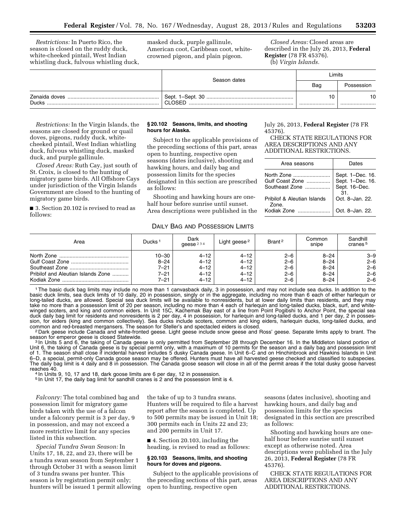*Restrictions:* In Puerto Rico, the season is closed on the ruddy duck, white-cheeked pintail, West Indian whistling duck, fulvous whistling duck, masked duck, purple gallinule, American coot, Caribbean coot, whitecrowned pigeon, and plain pigeon.

*Closed Areas:* Closed areas are described in the July 26, 2013, **Federal Register** (78 FR 45376).

(b) *Virgin Islands.* 

|              | Season dates | Limits |            |  |
|--------------|--------------|--------|------------|--|
|              |              | Bag    | Possession |  |
| <b>Ducks</b> | CLOSED       |        | 10<br>     |  |

*Restrictions:* In the Virgin Islands, the seasons are closed for ground or quail doves, pigeons, ruddy duck, whitecheeked pintail, West Indian whistling duck, fulvous whistling duck, masked duck, and purple gallinule.

*Closed Areas:* Ruth Cay, just south of St. Croix, is closed to the hunting of migratory game birds. All Offshore Cays under jurisdiction of the Virgin Islands Government are closed to the hunting of migratory game birds.

■ 3. Section 20.102 is revised to read as follows:

# **§ 20.102 Seasons, limits, and shooting hours for Alaska.**

Subject to the applicable provisions of the preceding sections of this part, areas open to hunting, respective open seasons (dates inclusive), shooting and hawking hours, and daily bag and possession limits for the species designated in this section are prescribed as follows:

Shooting and hawking hours are onehalf hour before sunrise until sunset. Area descriptions were published in the

# July 26, 2013, **Federal Register** (78 FR 45376).

CHECK STATE REGULATIONS FOR AREA DESCRIPTIONS AND ANY ADDITIONAL RESTRICTIONS.

| Area seasons                         | Dates                                                 |
|--------------------------------------|-------------------------------------------------------|
| North Zone<br>Gulf Coast Zone        | Sept. 1-Dec. 16.<br>Sept. 1-Dec. 16.<br>Sept. 16-Dec. |
| Southeast Zone                       | 31.                                                   |
| Pribilof & Aleutian Islands<br>Zone. | Oct. 8-Jan. 22.                                       |
| Kodiak Zone                          | Oct. 8-Jan. 22.                                       |

### DAILY BAG AND POSSESSION LIMITS

| Area                               | Ducks <sup>1</sup> | Dark<br>geese $234$ | Light geese <sup>2</sup> | Brant <sup>2</sup> | Common<br>snipe | Sandhill<br>cranes <sup>5</sup> |
|------------------------------------|--------------------|---------------------|--------------------------|--------------------|-----------------|---------------------------------|
|                                    | $10 - 30$          | $4 - 12$            | $4 - 12$                 | $2 - 6$            | $8 - 24$        | $3 - 9$                         |
|                                    | $8 - 24$           | $4 - 12$            | $4 - 12$                 | $2 - 6$            | $8 - 24$        | $2 - 6$                         |
|                                    | $7 - 21$           | $4 - 12$            | $4 - 12$                 | $2 - 6$            | $8 - 24$        | $2 - 6$                         |
| Pribilof and Aleutian Islands Zone | $7 - 21$           | $4 - 12$            | $4 - 12$                 | $2 - 6$            | $8 - 24$        | $2 - 6$                         |
|                                    | 7–21               | $4 - 12$            | $4 - 12$                 | $2 - 6$            | $8 - 24$        | $2 - 6$                         |

1The basic duck bag limits may include no more than 1 canvasback daily, 3 in possession, and may not include sea ducks. In addition to the basic duck limits, sea duck limits of 10 daily, 20 in possession, singly or in the aggregate, including no more than 6 each of either harlequin or long-tailed ducks, are allowed. Special sea duck limits will be available to nonresidents, but at lower daily limits than residents, and they may take no more than a possession limit of 20 per season, including no more than 4 each of harlequin and long-tailed ducks, black, surf, and whitewinged scoters, and king and common eiders. In Unit 15C, Kachemak Bay east of a line from Point Pogibshi to Anchor Point, the special sea duck daily bag limit for residents and nonresidents is 2 per day, 4 in possession, for harlequin and long-tailed ducks, and 1 per day, 2 in possession, for eiders (king and common collectively). Sea ducks include scoters, common and king eiders, harlequin ducks, long-tailed ducks, and

common and red-breasted mergansers. The season for Steller's and spectacled eiders is closed.<br><sup>2</sup> Dark geese include Canada and white-fronted geese. Light geese include snow geese and Ross' geese. Separate limits apply to

<sup>3</sup> In Units 5 and 6, the taking of Canada geese is only permitted from September 28 through December 16. In the Middleton Island portion of Unit 6, the taking of Canada geese is by special permit only, with a maximum of 10 permits for the season and a daily bag and possession limit<br>of 1. The season shall close if incidental harvest includes 5 dusky Canada gees The daily bag limit is 4 daily and 8 in possession. The Canada goose season will close in all of the permit areas if the total dusky goose harvest

<sup>4</sup> In Units 9, 10, 17 and 18, dark goose limits are 6 per day, 12 in possession.

5 In Unit 17, the daily bag limit for sandhill cranes is 2 and the possession limit is 4.

*Falconry:* The total combined bag and possession limit for migratory game birds taken with the use of a falcon under a falconry permit is 3 per day, 9 in possession, and may not exceed a more restrictive limit for any species listed in this subsection.

*Special Tundra Swan Season:* In Units 17, 18, 22, and 23, there will be a tundra swan season from September 1 through October 31 with a season limit of 3 tundra swans per hunter. This season is by registration permit only; hunters will be issued 1 permit allowing the take of up to 3 tundra swans. Hunters will be required to file a harvest report after the season is completed. Up to 500 permits may be issued in Unit 18; 300 permits each in Units 22 and 23; and 200 permits in Unit 17.

■ 4. Section 20.103, including the heading, is revised to read as follows:

#### **§ 20.103 Seasons, limits, and shooting hours for doves and pigeons.**

Subject to the applicable provisions of the preceding sections of this part, areas open to hunting, respective open

seasons (dates inclusive), shooting and hawking hours, and daily bag and possession limits for the species designated in this section are prescribed as follows:

Shooting and hawking hours are onehalf hour before sunrise until sunset except as otherwise noted. Area descriptions were published in the July 26, 2013, **Federal Register** (78 FR 45376).

CHECK STATE REGULATIONS FOR AREA DESCRIPTIONS AND ANY ADDITIONAL RESTRICTIONS.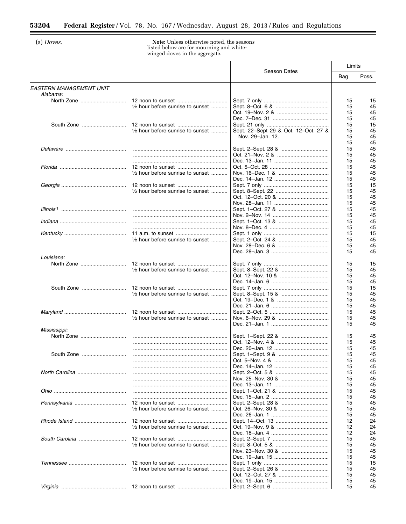(a) Doves.

 $\equiv$ 

**Note:** Unless otherwise noted, the seasons<br>listed below are for mourning and white-<br>winged doves in the aggregate.

|                                            |                                                      | Season Dates                         | Limits |       |
|--------------------------------------------|------------------------------------------------------|--------------------------------------|--------|-------|
|                                            |                                                      |                                      | Bag    | Poss. |
| <b>EASTERN MANAGEMENT UNIT</b><br>Alabama: |                                                      |                                      |        |       |
|                                            |                                                      |                                      | 15     | 15    |
|                                            | $\frac{1}{2}$ hour before sunrise to sunset          |                                      | 15     | 45    |
|                                            |                                                      |                                      | 15     | 45    |
|                                            |                                                      |                                      | 15     | 45    |
|                                            |                                                      |                                      | 15     | 15    |
|                                            | $\frac{1}{2}$ hour before sunrise to sunset          | Sept. 22-Sept 29 & Oct. 12-Oct. 27 & | 15     | 45    |
|                                            |                                                      | Nov. 29-Jan. 12.                     | 15     | 45    |
|                                            |                                                      |                                      | 15     | 45    |
|                                            |                                                      |                                      | 15     | 45    |
|                                            |                                                      |                                      | 15     | 45    |
|                                            |                                                      |                                      | 15     | 45    |
|                                            |                                                      |                                      | 15     | 45    |
|                                            | $\frac{1}{2}$ hour before sunrise to sunset          |                                      | 15     | 45    |
|                                            |                                                      |                                      | 15     | 45    |
|                                            |                                                      |                                      | 15     | 15    |
|                                            | 1/2 hour before sunrise to sunset                    |                                      | 15     | 45    |
|                                            |                                                      |                                      | 15     | 45    |
|                                            |                                                      |                                      |        |       |
|                                            |                                                      |                                      | 15     | 45    |
|                                            |                                                      |                                      | 15     | 45    |
|                                            |                                                      |                                      | 15     | 45    |
|                                            |                                                      |                                      | 15     | 45    |
|                                            |                                                      |                                      | 15     | 45    |
|                                            |                                                      |                                      | 15     | 15    |
|                                            | $\frac{1}{2}$ hour before sunrise to sunset $\ldots$ |                                      | 15     | 45    |
|                                            |                                                      |                                      | 15     | 45    |
|                                            |                                                      |                                      | 15     | 45    |
| Louisiana:                                 |                                                      |                                      |        |       |
|                                            |                                                      |                                      | 15     | 15    |
|                                            | 1/2 hour before sunrise to sunset                    |                                      | 15     | 45    |
|                                            |                                                      |                                      | 15     | 45    |
|                                            |                                                      |                                      | 15     | 45    |
| South Zone                                 |                                                      |                                      | 15     | 15    |
|                                            | 1/2 hour before sunrise to sunset                    |                                      | 15     | 45    |
|                                            |                                                      |                                      | 15     | 45    |
|                                            |                                                      |                                      | 15     | 45    |
|                                            |                                                      |                                      | 15     | 45    |
|                                            | $\frac{1}{2}$ hour before sunrise to sunset          |                                      | 15     | 45    |
|                                            |                                                      |                                      | 15     | 45    |
| Mississippi:                               |                                                      |                                      |        |       |
|                                            |                                                      |                                      | 15     | 45    |
|                                            |                                                      |                                      | 15     | 45    |
|                                            |                                                      |                                      | 15     | 45    |
|                                            |                                                      |                                      | 15     | 45    |
|                                            |                                                      |                                      | 15     | 45    |
|                                            |                                                      |                                      | 15     | 45    |
|                                            |                                                      |                                      | 15     | 45    |
|                                            |                                                      |                                      | 15     | 45    |
|                                            |                                                      |                                      | 15     | 45    |
|                                            |                                                      |                                      | 15     | 45    |
|                                            |                                                      |                                      | 15     | 45    |
|                                            |                                                      |                                      | 15     | 45    |
|                                            | $\frac{1}{2}$ hour before sunrise to sunset          |                                      | 15     | 45    |
|                                            |                                                      |                                      | 15     | 45    |
|                                            |                                                      |                                      | 12     | 24    |
|                                            | $\frac{1}{2}$ hour before sunrise to sunset $\ldots$ |                                      | 12     | 24    |
|                                            |                                                      |                                      |        |       |
|                                            |                                                      |                                      | 12     | 24    |
|                                            | $\frac{1}{2}$ hour before sunrise to sunset          |                                      | 15     | 45    |
|                                            |                                                      |                                      | 15     | 45    |
|                                            |                                                      |                                      | 15     | 45    |
|                                            |                                                      |                                      | 15     | 45    |
|                                            |                                                      |                                      | 15     | 15    |
|                                            | 1/2 hour before sunrise to sunset                    |                                      | 15     | 45    |
|                                            |                                                      |                                      | 15     | 45    |
|                                            |                                                      |                                      | 15     | 45    |
|                                            |                                                      |                                      | 15     | 45    |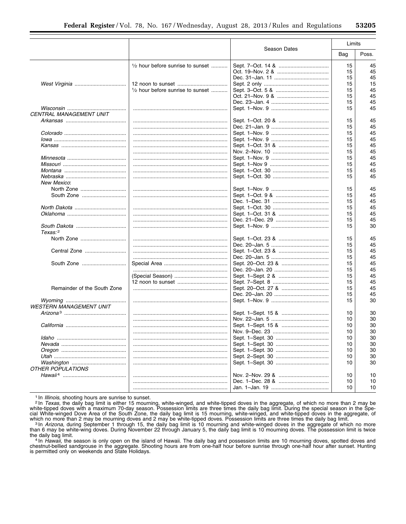|                                |                                             |              | Limits   |          |
|--------------------------------|---------------------------------------------|--------------|----------|----------|
|                                |                                             | Season Dates | Bag      | Poss.    |
|                                | $\frac{1}{2}$ hour before sunrise to sunset |              | 15       | 45       |
|                                |                                             |              | 15       | 45       |
|                                |                                             |              | 15       | 45       |
|                                |                                             |              | 15       | 15       |
|                                | 1/2 hour before sunrise to sunset           |              | 15       | 45       |
|                                |                                             |              | 15       | 45       |
|                                |                                             |              | 15       | 45       |
|                                |                                             |              | 15       | 45       |
| CENTRAL MANAGEMENT UNIT        |                                             |              |          |          |
|                                |                                             |              | 15       | 45       |
|                                |                                             |              | 15       | 45       |
|                                |                                             |              | 15       | 45       |
|                                |                                             |              | 15       | 45       |
|                                |                                             |              | 15       | 45       |
|                                |                                             |              | 15       | 45       |
|                                |                                             |              | 15       | 45       |
|                                |                                             |              | 15       | 45       |
|                                |                                             |              | 15       | 45       |
|                                |                                             |              | 15       | 45       |
| New Mexico:                    |                                             |              |          |          |
| North Zone                     |                                             |              | 15       | 45       |
| South Zone                     |                                             |              | 15       | 45       |
|                                |                                             |              | 15       | 45       |
|                                |                                             |              | 15       | 45       |
|                                |                                             |              | 15       | 45       |
|                                |                                             |              | 15       | 45       |
|                                |                                             |              | 15       | 30       |
| Texas: <sup>2</sup>            |                                             |              |          |          |
|                                |                                             |              | 15       | 45       |
|                                |                                             |              | 15       | 45       |
| Central Zone                   |                                             |              | 15       | 45       |
|                                |                                             |              | 15       | 45       |
| South Zone                     |                                             |              | 15       | 45       |
|                                |                                             |              |          | 45       |
|                                |                                             |              | 15<br>15 | 45       |
|                                |                                             |              |          |          |
|                                |                                             |              | 15       | 45       |
| Remainder of the South Zone    |                                             |              | 15       | 45       |
|                                |                                             |              | 15       | 45<br>30 |
|                                |                                             |              | 15       |          |
| <b>WESTERN MANAGEMENT UNIT</b> |                                             |              |          |          |
|                                |                                             |              | 10       | 30       |
|                                |                                             |              | 10       | 30       |
|                                |                                             |              | 10       | 30       |
|                                |                                             |              | 10       | 30       |
|                                |                                             |              | 10       | 30       |
|                                |                                             |              | 10       | 30       |
|                                |                                             |              | 10       | 30       |
|                                | .                                           |              | 10       | 30       |
|                                |                                             |              | 10       | 30       |
| <b>OTHER POPULATIONS</b>       |                                             |              |          |          |
|                                |                                             |              | 10       | 10       |
|                                |                                             |              | 10       | 10       |
|                                |                                             |              | 10       | 10       |

<sup>1</sup> In *Illinois*, shooting hours are sunrise to sunset.

<sup>2</sup> In *Illinois*, shooting nours are surface to surface.<br><sup>2</sup> In *Texas*, the daily bag limit is either 15 mounting, white-winged, and white-tipped doves in the aggregate, of which no more than 2 may be<br><sup>2</sup> In *Texas*, the

the daily bag limit.

<sup>4</sup> In *Hawaii*, the season is only open on the island of Hawaii. The daily bag and possession limits are 10 mourning doves, spotted doves and chestnut-bellied sandgrouse in the aggregate. Shooting hours are from one-half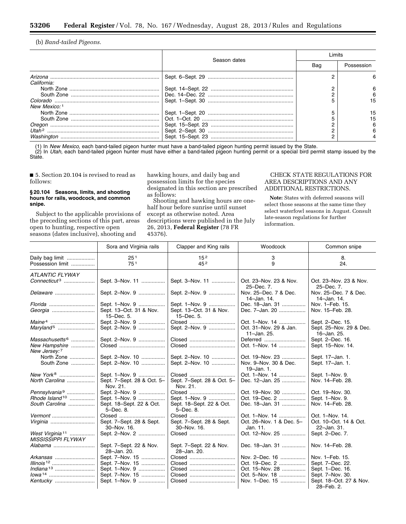(b) *Band-tailed Pigeons.* 

Ξ

|                              |              | ∣ imits |            |  |
|------------------------------|--------------|---------|------------|--|
|                              | Season dates | Bag     | Possession |  |
|                              |              |         |            |  |
| California:                  |              |         |            |  |
|                              |              |         |            |  |
|                              |              |         |            |  |
|                              |              |         | 15         |  |
| New Mexico: 1                |              |         |            |  |
|                              |              |         | 15         |  |
|                              |              |         | 15         |  |
|                              |              |         |            |  |
| $I$ <i>Itah</i> <sup>2</sup> |              |         |            |  |
|                              |              |         |            |  |

(1) In *New Mexico,* each band-tailed pigeon hunter must have a band-tailed pigeon hunting permit issued by the State. (2) In *Utah,* each band-tailed pigeon hunter must have either a band-tailed pigeon hunting permit or a special bird permit stamp issued by the State.

■ 5. Section 20.104 is revised to read as follows:

# **§ 20.104 Seasons, limits, and shooting hours for rails, woodcock, and common snipe.**

Subject to the applicable provisions of the preceding sections of this part, areas open to hunting, respective open seasons (dates inclusive), shooting and

hawking hours, and daily bag and possession limits for the species designated in this section are prescribed as follows:

Shooting and hawking hours are onehalf hour before sunrise until sunset except as otherwise noted. Area descriptions were published in the July 26, 2013, **Federal Register** (78 FR 45376).

# CHECK STATE REGULATIONS FOR AREA DESCRIPTIONS AND ANY ADDITIONAL RESTRICTIONS.

**Note:** States with deferred seasons will select those seasons at the same time they select waterfowl seasons in August. Consult late-season regulations for further information.

|                                                                             | Sora and Virginia rails                                                   | Clapper and King rails                                            | Woodcock                                                   | Common snipe                                               |
|-----------------------------------------------------------------------------|---------------------------------------------------------------------------|-------------------------------------------------------------------|------------------------------------------------------------|------------------------------------------------------------|
|                                                                             |                                                                           |                                                                   |                                                            |                                                            |
| Daily bag limit                                                             | 25 <sup>1</sup>                                                           | 15 <sup>2</sup>                                                   | 3                                                          | 8.                                                         |
| Possession limit                                                            | 751                                                                       | 45 <sup>2</sup>                                                   | 9                                                          | 24.                                                        |
| <b>ATLANTIC FLYWAY</b>                                                      |                                                                           |                                                                   |                                                            |                                                            |
| $Connecticut^3$                                                             | Sept. 3-Nov. 11                                                           | Sept. 3-Nov. 11                                                   | Oct. 23-Nov. 23 & Nov.<br>25-Dec. 7.                       | Oct. 23-Nov. 23 & Nov.<br>25-Dec. 7.                       |
| Delaware                                                                    | Sept. 2-Nov. 9                                                            | Sept. 2-Nov. 9                                                    | Nov. 25-Dec. 7 & Dec.<br>14-Jan. 14.                       | Nov. 25-Dec. 7 & Dec.<br>14-Jan. 14.                       |
| <i>Florida </i>                                                             | Sept. 1-Nov. 9<br>Sept. 13-Oct. 31 & Nov.<br>15-Dec. 5.                   | Sept. 1-Nov. 9<br>Sept. 13-Oct. 31 & Nov.<br>15-Dec. 5.           | Dec. 18-Jan. 31<br>Dec. 7-Jan. 20                          | Nov. 1-Feb. 15.<br>Nov. 15-Feb. 28.                        |
|                                                                             | Sept. 2-Nov. 9<br>Sept. 2-Nov. 9                                          | Closed<br>Sept. 2-Nov. 9                                          | Oct. 1-Nov. 14<br>Oct. 31-Nov. 29 & Jan.<br>11-Jan. 25.    | Sept. 2-Dec. 15.<br>Sept. 25-Nov. 29 & Dec.<br>16-Jan. 25. |
| Massachusetts <sup>6</sup><br>New Hampshire<br>New Jersey: 7                | Sept. 2-Nov. 9<br>Closed                                                  | Closed<br>Closed                                                  | Deferred<br>Oct. 1-Nov. 14                                 | Sept. 2-Dec. 16.<br>Sept. 15-Nov. 14.                      |
| North Zone<br>South Zone                                                    | Sept. 2-Nov. 10<br>Sept. 2-Nov. 10                                        | Sept. 2-Nov. 10<br>Sept. 2-Nov. 10                                | Oct. 19-Nov. 23<br>Nov. 9-Nov. 30 & Dec.<br>$19 - Jan. 1.$ | Sept. 17-Jan. 1.<br>Sept. 17-Jan. 1.                       |
| North Carolina                                                              | Sept. 1-Nov. 9<br>Sept. 7-Sept. 28 & Oct. 5-<br>Nov. 21.                  | Closed<br>Sept. 7-Sept. 28 & Oct. 5-<br>Nov. 21.                  | Oct. 1-Nov. 14<br>Dec. 12-Jan. 25                          | Sept. 1-Nov. 9.<br>Nov. 14-Feb. 28.                        |
| Pennsylvania <sup>9</sup><br>$Rhode$ Island <sup>10</sup><br>South Carolina | Sept. 2-Nov. 9<br>Sept. 1-Nov. 9<br>Sept. 18-Sept. 22 & Oct.<br>5-Dec. 8. | Closed<br>Sept. 1-Nov. 9<br>Sept. 18-Sept. 22 & Oct.<br>5-Dec. 8. | Oct. 19-Nov. 30<br>Oct. 19-Dec. 2<br>Dec. 18-Jan. 31       | Oct. 19-Nov. 30.<br>Sept. 1-Nov. 9.<br>Nov. 14-Feb. 28.    |
| Vermont<br>Virginia                                                         | Closed<br>Sept. 7-Sept. 28 & Sept.<br>30-Nov. 16.                         | Closed<br>Sept. 7-Sept. 28 & Sept.<br>30-Nov. 16.                 | Oct. 1-Nov. 14<br>Oct. 26-Nov. 1 & Dec. 5-<br>Jan. 11.     | Oct. 1-Nov. 14.<br>Oct. 10-Oct. 14 & Oct.<br>22-Jan. 31.   |
| West Virginia <sup>11</sup><br><b>MISSISSIPPI FLYWAY</b>                    | Sept. 2-Nov. 2                                                            | Closed                                                            | Oct. 12-Nov. 25                                            | Sept. 2-Dec. 7.                                            |
|                                                                             | Sept. 7-Sept. 22 & Nov.<br>28-Jan. 20.                                    | Sept. 7-Sept. 22 & Nov.<br>28-Jan. 20.                            | Dec. 18-Jan. 31                                            | Nov. 14-Feb. 28.                                           |
| Arkansas                                                                    | Sept. 7-Nov. 15                                                           | Closed                                                            | Nov. 2-Dec. 16                                             | Nov. 1-Feb. 15.                                            |
| Illinois <sup>12</sup>                                                      | Sept. 7-Nov. 15                                                           | Closed                                                            | Oct. 19-Dec. 2                                             | Sept. 7-Dec. 22.                                           |
|                                                                             | Sept. 1-Nov. 9                                                            | Closed                                                            | Oct. 15-Nov. 28                                            | Sept. 1-Dec. 16.                                           |
|                                                                             | Sept. 7-Nov. 15                                                           | Closed                                                            | Oct. 5-Nov. 18                                             | Sept. 7-Nov. 30.                                           |
| Kentucky                                                                    | Sept. 1-Nov. 9                                                            | Closed                                                            | Nov. 1-Dec. 15                                             | Sept. 18-Oct. 27 & Nov.<br>28-Feb. 2.                      |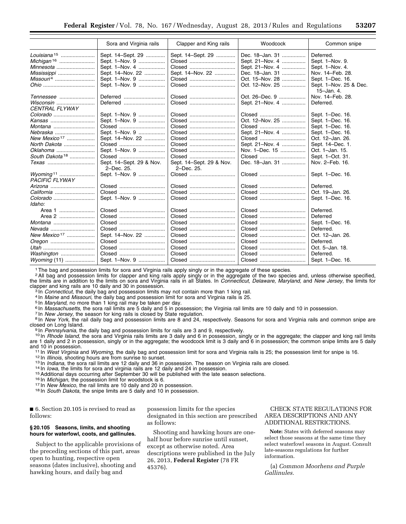|                            | Sora and Virginia rails                | Clapper and King rails                 | Woodcock        | Common snipe                             |
|----------------------------|----------------------------------------|----------------------------------------|-----------------|------------------------------------------|
|                            | Sept. 14-Sept. 29                      | Sept. 14-Sept. 29                      | Dec. 18-Jan. 31 | Deferred.                                |
|                            | Sept. 1-Nov. 9                         | Closed                                 | Sept. 21-Nov. 4 | Sept. 1-Nov. 9.                          |
| Minnesota                  | Sept. 1-Nov. 4                         | Closed                                 | Sept. 21-Nov. 4 | Sept. 1-Nov. 4.                          |
| Mississippi                | Sept. 14-Nov. 22                       | Sept. 14-Nov. 22                       | Dec. 18-Jan. 31 | Nov. 14-Feb. 28.                         |
| $Missouri4$                | Sept. 1-Nov. 9                         | Closed                                 | Oct. 15-Nov. 28 | Sept. 1-Dec. 16.                         |
|                            | Sept. 1-Nov. 9                         | Closed                                 | Oct. 12-Nov. 25 | Sept. 1-Nov. 25 & Dec.<br>$15 - Jan. 4.$ |
| Tennessee                  | Deferred                               | Closed                                 | Oct. 26–Dec. 9  | Nov. 14-Feb. 28.                         |
|                            | Deferred                               | Closed                                 | Sept. 21-Nov. 4 | Deferred.                                |
| CENTRAL FLYWAY             |                                        |                                        |                 |                                          |
|                            | Sept. 1-Nov. 9                         | Closed                                 | Closed          | Sept. 1-Dec. 16.                         |
| Kansas                     | Sept. 1-Nov. 9                         | Closed                                 | Oct. 12-Nov. 25 | Sept. 1-Dec. 16.                         |
|                            | Closed                                 | Closed                                 | Closed          | Sept. 1-Dec. 16.                         |
| Nebraska                   | Sept. 1-Nov. 9                         | Closed                                 | Sept. 21-Nov. 4 | Sept. 1-Dec. 16.                         |
| New Mexico <sup>17</sup>   | Sept. 14-Nov. 22                       | Closed                                 | Closed          | Oct. 12-Jan. 26.                         |
| North Dakota               | Closed                                 | Closed                                 | Sept. 21-Nov. 4 | Sept. 14-Dec. 1.                         |
| Oklahoma                   | Sept. 1-Nov. 9                         | Closed                                 | Nov. 1–Dec. 15  | Oct. 1-Jan. 15.                          |
| South Dakota <sup>18</sup> | Closed                                 | Closed                                 | Closed          | Sept. 1-Oct. 31.                         |
|                            | Sept. 14-Sept. 29 & Nov.<br>2-Dec. 25. | Sept. 14-Sept. 29 & Nov.<br>2-Dec. 25. | Dec. 18-Jan. 31 | Nov. 2-Feb. 16.                          |
| <b>PACIFIC FLYWAY</b>      | Sept. 1-Nov. 9                         | Closed                                 | Closed          | Sept. 1-Dec. 16.                         |
|                            | Closed                                 | Closed                                 | Closed          | Deferred.                                |
| California                 | Closed                                 | Closed                                 | Closed          | Oct. 19-Jan. 26.                         |
|                            | Sept. 1-Nov. 9                         | Closed                                 | Closed          | Sept. 1-Dec. 16.                         |
| Idaho:                     |                                        |                                        |                 |                                          |
| Area 1                     | Closed                                 | Closed                                 | Closed          | Deferred.                                |
| Area 2                     | Closed                                 | Closed                                 | Closed          | Deferred                                 |
|                            | Closed                                 | Closed                                 | Closed          | Sept. 1-Dec. 16.                         |
|                            | Closed                                 | Closed                                 | Closed          | Deferred.                                |
| New Mexico <sup>17</sup>   | Sept. 14-Nov. 22                       | Closed                                 | Closed          | Oct. 12-Jan. 26.                         |
|                            | Closed                                 | Closed                                 | Closed          | Deferred.                                |
|                            | Closed                                 | Closed                                 | Closed          | Oct. 5-Jan. 18.                          |
| Washington                 | Closed                                 | Closed                                 | Closed          | Deferred.                                |
|                            | Sept. 1-Nov. 9                         | Closed                                 | Closed          | Sept. 1-Dec. 16.                         |

1The bag and possession limits for sora and Virginia rails apply singly or in the aggregate of these species.

<sup>2</sup> All bag and possession limits for clapper and king rails apply singly or in the aggregate of the two species and, unless otherwise specified, the limits are in addition to the limits on sora and Virginia rails in all States. In *Connecticut, Delaware, Maryland,* and *New Jersey,* the limits for

<sup>3</sup> In *Connecticut*, the daily bag and possession limits may not contain more than 1 king rail.<br>
<sup>4</sup> In *Maine* and *Missouri*, the daily bag and possession limit for sora and Virginia rails is 25.<br>
<sup>5</sup> In *Maryland*, no closed on Long Island.<br><sup>9</sup>In *Pennsylvania,* the daily bag and possession limits for rails are 3 and 9, respectively.<br><sup>10</sup>In *Rhode Island,* the sora and Virginia rails limits are 3 daily and 6 in possession, singly or in

are 1 daily and 2 in possession, singly or in the aggregate; the woodcock limit is 3 daily and 6 in possession; the common snipe limits are 5 daily and 10 in possession.<br>
<sup>11</sup> In *West Virginia* and *Wyoming*, the daily bag and possession limit for sora and Virginia rails is 25; the possession limit for snipe is 16.<br>
<sup>12</sup> In *Illinois*, shooting hours are from sunrise

■ 6. Section 20.105 is revised to read as follows:

# **§ 20.105 Seasons, limits, and shooting hours for waterfowl, coots, and gallinules.**

Subject to the applicable provisions of the preceding sections of this part, areas open to hunting, respective open seasons (dates inclusive), shooting and hawking hours, and daily bag and

possession limits for the species designated in this section are prescribed as follows:

Shooting and hawking hours are onehalf hour before sunrise until sunset, except as otherwise noted. Area descriptions were published in the July 26, 2013, **Federal Register** (78 FR 45376).

# CHECK STATE REGULATIONS FOR AREA DESCRIPTIONS AND ANY ADDITIONAL RESTRICTIONS.

**Note:** States with deferred seasons may select those seasons at the same time they select waterfowl seasons in August. Consult late-seasons regulations for further information.

(a) *Common Moorhens and Purple Gallinules.*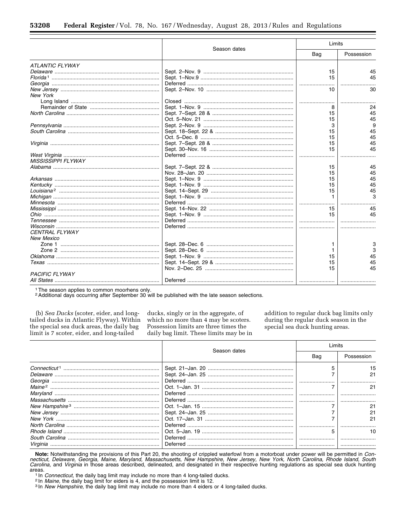|                           |              | Limits |            |
|---------------------------|--------------|--------|------------|
|                           | Season dates | Bag    | Possession |
| <b>ATLANTIC FLYWAY</b>    |              |        |            |
|                           |              | 15     | 45         |
|                           |              | 15     | 45         |
|                           |              |        |            |
|                           |              | 10     | 30         |
| <b>New York</b>           |              |        |            |
|                           |              |        |            |
|                           |              |        | 24         |
|                           |              | 15     | 45         |
|                           |              | 15     | 45         |
|                           |              | 3      | 9          |
|                           |              | 15     | 45         |
|                           |              | 15     | 45         |
|                           |              | 15     | 45         |
|                           |              | 15     | 45         |
|                           |              |        |            |
| <b>MISSISSIPPI FLYWAY</b> |              |        |            |
|                           |              | 15     | 45         |
|                           |              | 15     | 45         |
|                           |              | 15     | 45         |
|                           |              | 15     | 45         |
|                           |              | 15     | 45         |
|                           |              |        |            |
|                           |              |        |            |
|                           |              | 15     | 45         |
|                           |              | 15     | 45         |
|                           |              |        |            |
|                           |              |        |            |
| <b>CENTRAL FLYWAY</b>     |              |        |            |
| <b>New Mexico</b>         |              |        |            |
|                           |              |        | 3          |
|                           |              |        | з          |
|                           |              | 15     | 45         |
|                           |              | 15     | 45         |
|                           |              | 15     | 45         |
| <b>PACIFIC FLYWAY</b>     |              |        |            |
|                           |              |        |            |

<sup>1</sup> The season applies to common moorhens only.

<sup>2</sup> Additional days occurring after September 30 will be published with the late season selections.

(b) Sea Ducks (scoter, eider, and longtailed ducks in Atlantic Flyway). Within the special sea duck areas, the daily bag limit is 7 scoter, eider, and long-tailed

ducks, singly or in the aggregate, of which no more than 4 may be scoters. Possession limits are three times the daily bag limit. These limits may be in addition to regular duck bag limits only during the regular duck season in the special sea duck hunting areas.

|          |              | imits |            |  |
|----------|--------------|-------|------------|--|
|          | Season dates | Bag   | Possession |  |
|          |              |       |            |  |
|          |              |       |            |  |
| Georgia  |              |       |            |  |
|          |              |       |            |  |
|          |              |       |            |  |
|          |              |       |            |  |
|          |              |       |            |  |
|          |              |       |            |  |
|          |              |       |            |  |
|          |              |       |            |  |
|          |              |       |            |  |
|          |              |       |            |  |
| Virainia |              |       |            |  |

Note: Notwithstanding the provisions of this Part 20, the shooting of crippled waterfowl from a motorboat under power will be permitted in Connecticut, Delaware, Georgia, Maine, Maryland, Massachusetts, New Hampshire, New Carolina, and Virginia in those areas described, delineated, and designated in their respective hunting regulations as special sea duck hunting areas.

<sup>1</sup> In Connecticut, the daily bag limit may include no more than 4 long-tailed ducks.

<sup>2</sup> In Maine, the daily bag limit for eiders is 4, and the possession limit is 12.

<sup>3</sup> In New Hampshire, the daily bag limit may include no more than 4 eiders or 4 long-tailed ducks.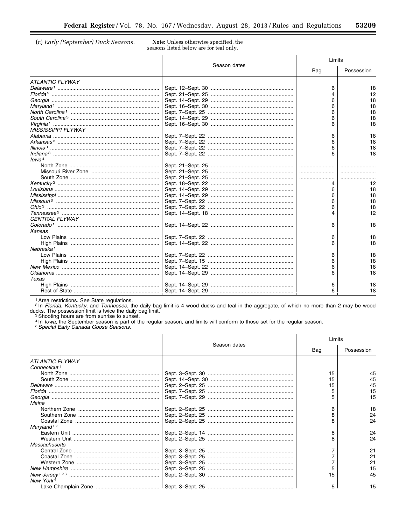(c) Early (September) Duck Seasons.

Note: Unless otherwise specified, the seasons listed below are for teal only.

|                           |              |     | Limits     |  |
|---------------------------|--------------|-----|------------|--|
|                           | Season dates | Bag | Possession |  |
| <b>ATLANTIC FLYWAY</b>    |              |     |            |  |
|                           |              | 6   | 18         |  |
|                           |              |     | 12         |  |
|                           |              | 6   | 18         |  |
|                           |              | 6   | 18         |  |
|                           |              | 6   | 18         |  |
|                           |              | 6   | 18         |  |
|                           |              |     | 18         |  |
| <b>MISSISSIPPI FLYWAY</b> |              |     |            |  |
|                           |              | 6   | 18         |  |
|                           |              | 6   | 18         |  |
|                           |              | 6   | 18         |  |
|                           |              |     | 18         |  |
| Iowa <sup>4</sup>         |              |     |            |  |
|                           |              |     |            |  |
|                           |              |     |            |  |
|                           |              |     |            |  |
|                           |              |     | 12         |  |
|                           |              | 6   | 18         |  |
|                           |              |     | 18         |  |
|                           |              | 6   |            |  |
|                           |              | 6   | 18         |  |
|                           |              |     | 18         |  |
|                           |              |     | 12         |  |
| <b>CENTRAL FLYWAY</b>     |              |     |            |  |
|                           |              | 6   | 18         |  |
| Kansas                    |              |     |            |  |
|                           |              | 6   | 18         |  |
|                           |              | 6   | 18         |  |
| Nebraska <sup>1</sup>     |              |     |            |  |
|                           |              | 6   | 18         |  |
|                           |              | 6   | 18         |  |
|                           |              |     | 18         |  |
|                           |              |     | 18         |  |
| Texas                     |              |     |            |  |
|                           |              | 6   | 18         |  |
|                           |              |     | 18         |  |

<sup>1</sup> Area restrictions. See State regulations.<br>
<sup>2</sup> In *Florida, Kentucky*, and *Tennessee*, the daily bag limit is 4 wood ducks and teal in the aggregate, of which no more than 2 may be wood ducks. The possession limit is

|                          |              | Limits |            |
|--------------------------|--------------|--------|------------|
|                          | Season dates | Bag    | Possession |
| <b>ATLANTIC FLYWAY</b>   |              |        |            |
| Connecticut <sup>1</sup> |              |        |            |
|                          |              | 15     | 45         |
|                          |              | 15     | 45         |
|                          |              | 15     | 45         |
|                          |              |        | 15         |
|                          |              |        | 15         |
| Maine                    |              |        |            |
|                          |              | 6      | 18         |
|                          |              |        | 24         |
|                          |              |        | 24         |
| Maryland <sup>12</sup>   |              |        |            |
|                          |              | 8      | 24         |
|                          |              |        | 24         |
| Massachusetts            |              |        |            |
|                          |              |        | 21         |
|                          |              |        | 21         |
|                          |              |        | 21         |
|                          |              |        | 15         |
|                          |              | 15     | 45         |
| New York <sup>4</sup>    |              |        |            |
|                          |              | 5      | 15         |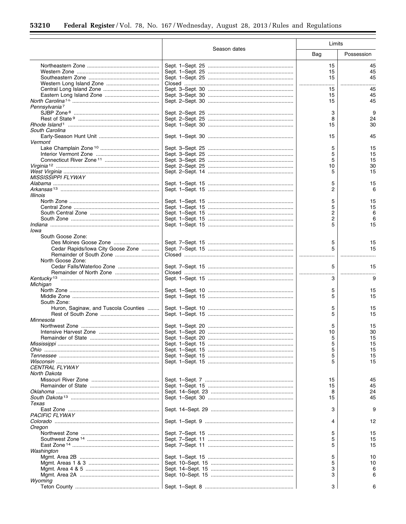۲

 $\equiv$ 

|                                      |              | Limits  |            |
|--------------------------------------|--------------|---------|------------|
|                                      | Season dates | Bag     | Possession |
|                                      |              | 15      | 45         |
|                                      |              | 15      | 45         |
|                                      |              | 15      | 45         |
|                                      |              | .       |            |
|                                      |              | 15      | 45         |
|                                      |              | 15      | 45         |
|                                      |              | 15      | 45         |
| Pennsylvania <sup>7</sup>            |              |         |            |
|                                      |              | 3       | 9          |
|                                      |              | 8       | 24         |
|                                      |              | 15      | 30         |
| South Carolina                       |              |         |            |
|                                      |              | 15      | 45         |
| Vermont                              |              |         |            |
|                                      |              | 5<br>5  | 15<br>15   |
|                                      |              | 5       | 15         |
|                                      |              | 10      | 30         |
|                                      |              | 5       | 15         |
| <i>MISSISSIPPI FLYWAY</i>            |              |         |            |
|                                      |              | 5       | 15         |
|                                      |              | 2       | 6          |
| <b>Illinois</b>                      |              |         |            |
|                                      |              | 5       | 15         |
|                                      |              | 5       | 15         |
|                                      |              | 2       | 6          |
|                                      |              | 2       | 6          |
|                                      |              | 5       | 15         |
| lowa                                 |              |         |            |
| South Goose Zone:                    |              |         |            |
|                                      |              | 5       | 15         |
| Cedar Rapids/Iowa City Goose Zone    |              | 5       | 15         |
|                                      |              |         |            |
| North Goose Zone:                    |              |         |            |
|                                      |              | 5       | 15         |
|                                      |              |         |            |
|                                      |              | 3       | 9          |
| Michigan                             |              |         |            |
|                                      |              | 5       | 15         |
|                                      |              | 5       | 15         |
| South Zone:                          |              |         |            |
| Huron, Saginaw, and Tuscola Counties |              | 5       | 15         |
|                                      |              | 5       | 15         |
| Minnesota                            |              |         |            |
|                                      |              | 5<br>10 | 15<br>30   |
|                                      |              | 5       | 15         |
|                                      |              | 5       | 15         |
|                                      |              | 5       | 15         |
|                                      |              | 5       | 15         |
|                                      |              | 5       | 15         |
| <b>CENTRAL FLYWAY</b>                |              |         |            |
| North Dakota                         |              |         |            |
|                                      |              | 15      | 45         |
|                                      |              | 15      | 45         |
|                                      |              | 8       | 24         |
|                                      |              | 15      | 45         |
| Texas                                |              |         |            |
|                                      |              | З       | 9          |
| PACIFIC FLYWAY                       |              |         |            |
|                                      |              | 4       | 12         |
| Oregon                               |              |         |            |
|                                      |              | 5       | 15         |
|                                      |              | 5       | 15         |
|                                      |              | 5       | 15         |
| Washington                           |              |         |            |
|                                      |              | 5       | 10         |
|                                      |              | 5       | 10         |
|                                      |              | 3       | 6          |
|                                      |              | 3       | 6          |
| Wyoming                              |              |         |            |
|                                      |              | 3       |            |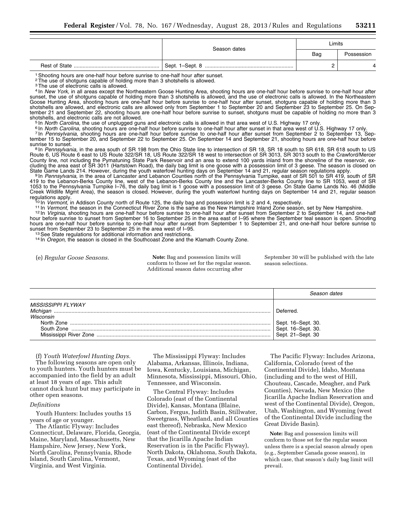|  | Season dates | Limits |            |
|--|--------------|--------|------------|
|  |              | Bag    | Possession |
|  |              |        |            |

<sup>1</sup> Shooting hours are one-half hour before sunrise to one-half hour after sunset.

<sup>2</sup>The use of shotguns capable of holding more than 3 shotshells is allowed.

<sup>3</sup>The use of electronic calls is allowed.

4 In *New York,* in all areas except the Northeastern Goose Hunting Area, shooting hours are one-half hour before sunrise to one-half hour after sunset, the use of shotguns capable of holding more than 3 shotshells is allowed, and the use of electronic calls is allowed. In the Northeastern Goose Hunting Area, shooting hours are one-half hour before sunrise to one-half hour after sunset, shotguns capable of holding more than 3 shotshells are allowed, and electronic calls are allowed only from September 1 to September 20 and September 23 to September 25. On September 21 and September 22, shooting hours are one-half hour before sunrise to sunset, shotguns must be capable of holding no more than 3<br>shotshells, and electronic calls are not allowed.

<sup>5</sup> In *North Carolina,* the use of unplugged guns and electronic calls is allowed in that area west of U.S. Highway 17 only.<br><sup>6</sup> In *North Carolina,* shooting hours are one-half hour before sunrise to one-half hour after tember 15 to September 20, and September 22 to September 25. On September 14 and September 21, shooting hours are one-half hour before<br>sunrise to sunset.

<sup>8</sup> In Pennsylvania, in the area south of SR 198 from the Ohio State line to intersection of SR 18, SR 18 south to SR 618, SR 618 south to US Route 6, US Route 6 east to US Route 322/SR 18, US Route 322/SR 18 west to intersection of SR 3013, SR 3013 south to the Crawford/Mercer County line, not including the Pymatuning State Park Reservoir and an area to extend 100 yards inland from the shoreline of the reservoir, excluding the area east of SR 3011 (Hartstown Road), the daily bag limit is one goose with a possession limit of 3 geese. The season is closed on State Game Lands 214. However, during the youth waterfowl hunting days on September 14 and 21, regular season regulations apply.<br><sup>9</sup> In *Pennsylvania,* in the area of Lancaster and Lebanon Counties north of the Pennsylvani

419 to the Lebanon-Berks County line, west of the Lebanon-Berks County line and the Lancaster-Berks County line to SR 1053, west of SR 1053 to the Pennsylvania Turnpike I–76, the daily bag limit is 1 goose with a possession limit of 3 geese. On State Game Lands No. 46 (Middle Creek Wildlife Mgmt Area), the season is closed. However, during the youth waterfowl hunting days on September 14 and 21, regular season<br>regulations apply.

<sup>10</sup> In Vermont, in Addison County north of Route 125, the daily bag and possession limit is 2 and 4, respectively.<br><sup>11</sup> In Vermont, the season in the Connecticut River Zone is the same as the New Hampshire Inland Zone sea

hour before sunrise to sunset from September 16 to September 25 in the area east of I–95 where the September teal season is open. Shooting hours are one-half hour before sunrise to one-half hour after sunset from September 1 to September 21, and one-half hour before sunrise to<br>sunset from September 23 to September 25 in the area west of I–95.

<sup>13</sup> See State regulations for additional information and restrictions.<br><sup>14</sup> In *Oregon*, the season is closed in the Southcoast Zone and the Klamath County Zone.

(e) *Regular Goose Seasons.* **Note:** Bag and possession limits will conform to those set for the regular season. Additional season dates occurring after

September 30 will be published with the late season selections.

|                                                                                                          | Season dates                                                              |
|----------------------------------------------------------------------------------------------------------|---------------------------------------------------------------------------|
| <b>MISSISSIPPI FLYWAY</b><br>Michigan<br>Wisconsin<br>North Zone<br>South Zone<br>Mississippi River Zone | Deferred<br>Sept. 16–Sept. 30.<br>Sept. 16-Sept. 30.<br>Sept. 21-Sept. 30 |

(f) *Youth Waterfowl Hunting Days.* 

The following seasons are open only to youth hunters. Youth hunters must be accompanied into the field by an adult at least 18 years of age. This adult cannot duck hunt but may participate in other open seasons.

# *Definitions*

Youth Hunters: Includes youths 15 years of age or younger.

The Atlantic Flyway: Includes Connecticut, Delaware, Florida, Georgia, Maine, Maryland, Massachusetts, New Hampshire, New Jersey, New York, North Carolina, Pennsylvania, Rhode Island, South Carolina, Vermont, Virginia, and West Virginia.

The Mississippi Flyway: Includes Alabama, Arkansas, Illinois, Indiana, Iowa, Kentucky, Louisiana, Michigan, Minnesota, Mississippi, Missouri, Ohio, Tennessee, and Wisconsin.

The Central Flyway: Includes Colorado (east of the Continental Divide), Kansas, Montana (Blaine, Carbon, Fergus, Judith Basin, Stillwater, Sweetgrass, Wheatland, and all Counties east thereof), Nebraska, New Mexico (east of the Continental Divide except that the Jicarilla Apache Indian Reservation is in the Pacific Flyway), North Dakota, Oklahoma, South Dakota, Texas, and Wyoming (east of the Continental Divide).

The Pacific Flyway: Includes Arizona, California, Colorado (west of the Continental Divide), Idaho, Montana (including and to the west of Hill, Chouteau, Cascade, Meagher, and Park Counties), Nevada, New Mexico (the Jicarilla Apache Indian Reservation and west of the Continental Divide), Oregon, Utah, Washington, and Wyoming (west of the Continental Divide including the Great Divide Basin).

**Note:** Bag and possession limits will conform to those set for the regular season unless there is a special season already open (e.g., September Canada goose season), in which case, that season's daily bag limit will prevail.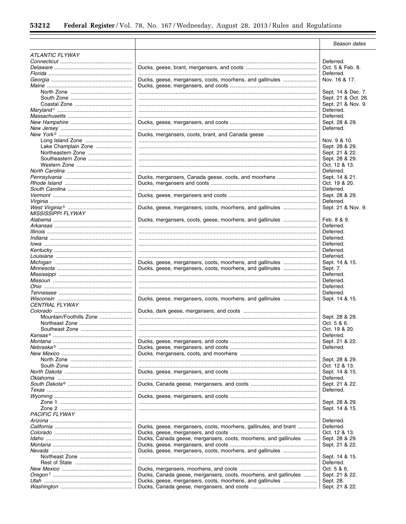$\equiv$ 

|                              |                                                                  | Season dates                  |
|------------------------------|------------------------------------------------------------------|-------------------------------|
| <b>ATLANTIC FLYWAY</b>       |                                                                  |                               |
|                              |                                                                  | Deferred.                     |
|                              |                                                                  | Oct. 5 & Feb. 8.              |
|                              |                                                                  | Deferred.                     |
|                              | Ducks, geese, mergansers, coots, moorhens, and gallinules        | Nov. 16 & 17.                 |
|                              |                                                                  |                               |
|                              |                                                                  | Sept. 14 & Dec. 7.            |
|                              |                                                                  | Sept. 21 & Oct. 26.           |
|                              |                                                                  | Sept. 21 & Nov. 9.            |
|                              |                                                                  | Deferred.                     |
|                              |                                                                  | Deferred.                     |
|                              |                                                                  | Sept. 28 & 29.<br>Deferred.   |
|                              |                                                                  |                               |
|                              |                                                                  | Nov. 9 & 10.                  |
| Lake Champlain Zone          |                                                                  | Sept. 28 & 29.                |
|                              |                                                                  | Sept. 21 & 22.                |
| Southeastern Zone            |                                                                  | Sept. 28 & 29.                |
|                              |                                                                  | Oct. 12 & 13.                 |
|                              |                                                                  | Deferred.                     |
|                              | Ducks, mergansers, Canada geese, coots, and moorhens             | Sept. 14 & 21.                |
|                              |                                                                  | Oct. 19 & 20.                 |
|                              |                                                                  | Deferred.                     |
|                              |                                                                  | Sept. 28 & 29.                |
|                              |                                                                  | Deferred.                     |
|                              | Ducks, geese, mergansers, coots, moorhens, and gallinules        | Sept. 21 & Nov. 9.            |
| <b>MISSISSIPPI FLYWAY</b>    |                                                                  |                               |
|                              | Ducks, mergansers, coots, geese, moorhens, and gallinules        | Feb. 8 & 9.                   |
| Illinois ………………………………………………… |                                                                  | Deferred.<br>Deferred.        |
|                              |                                                                  | Deferred.                     |
|                              |                                                                  | Deferred.                     |
|                              |                                                                  | Deferred.                     |
|                              |                                                                  | Deferred.                     |
|                              | Ducks, geese, mergansers, coots, moorhens, and gallinules        | Sept. 14 & 15.                |
|                              | Ducks, geese, mergansers, coots, moorhens, and gallinules        | Sept. 7.                      |
|                              |                                                                  | Deferred.                     |
|                              |                                                                  | Deferred.                     |
|                              |                                                                  | Deferred.                     |
|                              |                                                                  | Deferred.                     |
|                              | Ducks, geese, mergansers, coots, moorhens, and gallinules        | Sept. 14 & 15.                |
| <b>CENTRAL FLYWAY</b>        |                                                                  |                               |
| Mountain/Foothills Zone      |                                                                  |                               |
|                              |                                                                  | Sept. 28 & 29.<br>Oct. 5 & 6. |
|                              |                                                                  | Oct. 19 & 20.                 |
|                              |                                                                  | Deferred.                     |
|                              |                                                                  | Sept. 21 & 22.                |
|                              |                                                                  | Deferred.                     |
|                              |                                                                  |                               |
|                              |                                                                  | Sept. 28 & 29.                |
|                              |                                                                  | Oct. 12 & 13.                 |
|                              |                                                                  | Sept. 14 & 15.                |
|                              |                                                                  | Deferred.                     |
|                              |                                                                  | Sept. 21 & 22.                |
|                              |                                                                  | Deferred.                     |
|                              |                                                                  |                               |
|                              |                                                                  | Sept. 28 & 29.                |
|                              |                                                                  | Sept. 14 & 15.                |
| <b>PACIFIC FLYWAY</b>        |                                                                  |                               |
|                              |                                                                  | Deferred.<br>Deferred.        |
|                              | Ducks, geese, mergansers, coots, moorhens, gallinules, and brant | Oct. 12 & 13.                 |
|                              | Ducks, Canada geese, mergansers, coots, moorhens, and gallinules | Sept. 28 & 29.                |
|                              |                                                                  | Sept. 21 & 22.                |
|                              | Ducks, geese, mergansers, coots, moorhens, and gallinules        |                               |
|                              |                                                                  | Sept. 14 & 15.                |
|                              |                                                                  | Deferred.                     |
|                              |                                                                  | Oct. 5 & 6.                   |
|                              | Ducks, Canada geese, mergansers, coots, moorhens, and gallinules | Sept. 21 & 22.                |
|                              | Ducks, geese, mergansers, coots, moorhens, and gallinules        | Sept. 28.                     |
|                              |                                                                  | Sept. 21 & 22.                |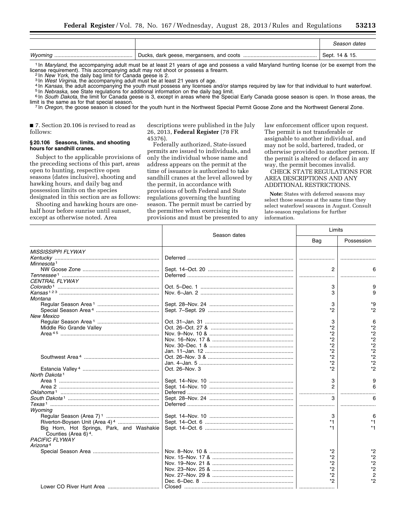|  | Season dates     |
|--|------------------|
|  | ' Sept. 14 & 15. |

1 In *Maryland*, the accompanying adult must be at least 21 years of age and possess a valid Maryland hunting license (or be exempt from the license requirement). This accompanying adult may not shoot or possess a firearm.

<sup>3</sup> In West Virginia, the accompanying adult must be at least 21 years of age.<br><sup>4</sup> In *Kansas*, the adult accompanying adult must possess any licenses and/or stamps required by law for that individual to hunt waterfowl.<br><sup>5</sup>

<sup>7</sup> In *Oregon*, the goose season is closed for the youth hunt in the Northwest Special Permit Goose Zone and the Northwest General Zone.

■ 7. Section 20.106 is revised to read as follows:

#### **§ 20.106 Seasons, limits, and shooting hours for sandhill cranes.**

Subject to the applicable provisions of the preceding sections of this part, areas open to hunting, respective open seasons (dates inclusive), shooting and hawking hours, and daily bag and possession limits on the species designated in this section are as follows:

Shooting and hawking hours are onehalf hour before sunrise until sunset, except as otherwise noted. Area

descriptions were published in the July 26, 2013, **Federal Register** (78 FR 45376).

Federally authorized, State-issued permits are issued to individuals, and only the individual whose name and address appears on the permit at the time of issuance is authorized to take sandhill cranes at the level allowed by the permit, in accordance with provisions of both Federal and State regulations governing the hunting season. The permit must be carried by the permittee when exercising its provisions and must be presented to any law enforcement officer upon request. The permit is not transferable or assignable to another individual, and may not be sold, bartered, traded, or otherwise provided to another person. If the permit is altered or defaced in any way, the permit becomes invalid.

CHECK STATE REGULATIONS FOR AREA DESCRIPTIONS AND ANY ADDITIONAL RESTRICTIONS.

**Note:** States with deferred seasons may select those seasons at the same time they select waterfowl seasons in August. Consult late-season regulations for further information.

Limits

|                                           | Season dates   | Limits         |                |
|-------------------------------------------|----------------|----------------|----------------|
|                                           |                | Bag            | Possession     |
| <b>MISSISSIPPI FLYWAY</b>                 |                |                |                |
|                                           |                |                |                |
| Minnesota <sup>1</sup>                    |                |                |                |
|                                           |                | $\mathfrak{p}$ |                |
|                                           |                |                |                |
| <b>CENTRAL FLYWAY</b>                     |                |                |                |
|                                           |                | 3              | 9              |
|                                           |                | 3              | 9              |
| Montana                                   |                |                |                |
|                                           |                | 3              | $*9$           |
|                                           |                | *2             | *2             |
| <b>New Mexico</b>                         |                |                |                |
|                                           |                | 3              | 6              |
| Middle Rio Grande Valley                  |                | $*_{2}$        | $*_{2}$        |
|                                           |                | *2             | *2             |
|                                           |                | *2             | $*_{2}$        |
|                                           |                | *2             | $*2$           |
|                                           |                | $*_{2}$        | $*_{2}$        |
|                                           |                | *2             | $*_{2}$        |
|                                           |                | *2             | $*_{2}$        |
|                                           | Oct. 26-Nov. 3 | *2             | $*_{2}$        |
| North Dakota <sup>1</sup>                 |                |                |                |
|                                           |                |                |                |
|                                           |                | 3<br>2         | 9              |
|                                           |                |                | 6              |
|                                           |                |                |                |
|                                           |                |                | 6              |
|                                           |                |                |                |
| Wyoming                                   |                |                |                |
|                                           |                | 3              | 6              |
|                                           |                | *1             | *1             |
| Big Horn, Hot Springs, Park, and Washakie |                | $*1$           | *1             |
| Counties (Area 6) <sup>4</sup> .          |                |                |                |
| <b>PACIFIC FLYWAY</b>                     |                |                |                |
| Arizona <sup>4</sup>                      |                |                |                |
|                                           |                | *2             | *2             |
|                                           |                | *2             | *2             |
|                                           |                | $*_{2}$        | *2             |
|                                           |                | *2             | *2             |
|                                           |                | $*_{2}$        | $\overline{2}$ |
|                                           |                | *2             | *2             |
|                                           |                |                |                |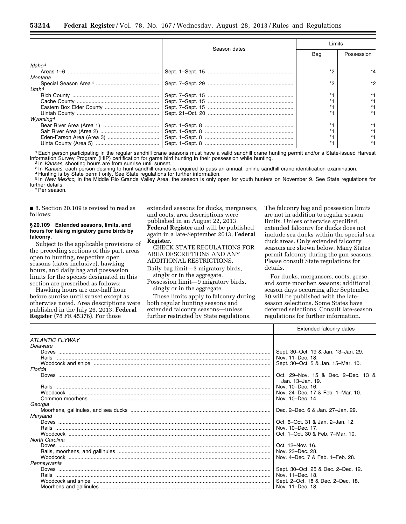|                      | Season dates | Limits |            |
|----------------------|--------------|--------|------------|
|                      |              | Bag    | Possession |
| Idaho <sup>4</sup>   |              |        |            |
|                      |              | $*$    |            |
| Montana              |              |        |            |
|                      |              | $*$    | *2         |
| Utah <sup>4</sup>    |              |        |            |
|                      |              |        |            |
|                      |              |        |            |
|                      |              |        |            |
|                      |              |        |            |
| Wyoming <sup>4</sup> |              |        |            |
|                      |              |        |            |
|                      |              |        |            |
|                      |              |        |            |
|                      |              |        |            |

1Each person participating in the regular sandhill crane seasons must have a valid sandhill crane hunting permit and/or a State-issued Harvest Information Survey Program (HIP) certification for game bird hunting in their possession while hunting.<br><sup>2</sup> In *Kansas*, shooting hours are from sunrise until sunset.<br><sup>3</sup> In *Kansas*, each person desiring to hunt sandhill

5 In *New Mexico,* in the Middle Rio Grande Valley Area, the season is only open for youth hunters on November 9. See State regulations for further details.

\* Per season.

■ 8. Section 20.109 is revised to read as follows:

# **§ 20.109 Extended seasons, limits, and hours for taking migratory game birds by falconry.**

Subject to the applicable provisions of the preceding sections of this part, areas open to hunting, respective open seasons (dates inclusive), hawking hours, and daily bag and possession limits for the species designated in this section are prescribed as follows:

Hawking hours are one-half hour before sunrise until sunset except as otherwise noted. Area descriptions were published in the July 26, 2013, **Federal Register** (78 FR 45376). For those

extended seasons for ducks, mergansers, and coots, area descriptions were published in an August 22, 2013 **Federal Register** and will be published again in a late-September 2013, **Federal Register**.

CHECK STATE REGULATIONS FOR AREA DESCRIPTIONS AND ANY ADDITIONAL RESTRICTIONS.

Daily bag limit—3 migratory birds, singly or in the aggregate.

Possession limit—9 migratory birds, singly or in the aggregate.

These limits apply to falconry during both regular hunting seasons and extended falconry seasons—unless further restricted by State regulations.

The falconry bag and possession limits are not in addition to regular season limits. Unless otherwise specified, extended falconry for ducks does not include sea ducks within the special sea duck areas. Only extended falconry seasons are shown below. Many States permit falconry during the gun seasons. Please consult State regulations for details.

For ducks, mergansers, coots, geese, and some moorhen seasons; additional season days occurring after September 30 will be published with the lateseason selections. Some States have deferred selections. Consult late-season regulations for further information.

|                        | Extended falconry dates                                |
|------------------------|--------------------------------------------------------|
| <b>ATLANTIC FLYWAY</b> |                                                        |
| Delaware               |                                                        |
|                        | Sept. 30-Oct. 19 & Jan. 13-Jan. 29.                    |
|                        | Nov. 11-Dec. 18.                                       |
|                        | Sept. 30-Oct. 5 & Jan. 15-Mar. 10.                     |
| Florida                |                                                        |
|                        | Oct. 29-Nov. 15 & Dec. 2-Dec. 13 &<br>Jan. 13-Jan. 19. |
|                        | Nov. 10-Dec. 16.                                       |
|                        | Nov. 24–Dec. 17 & Feb. 1–Mar. 10.                      |
|                        |                                                        |
| Georgia                |                                                        |
|                        | Dec. 2-Dec. 6 & Jan. 27-Jan. 29.                       |
| Maryland               |                                                        |
|                        | Oct. 6-Oct. 31 & Jan. 2-Jan. 12.                       |
|                        | Nov. 10-Dec. 17.                                       |
|                        | Oct. 1-Oct. 30 & Feb. 7-Mar. 10.                       |
| North Carolina         |                                                        |
|                        | Oct. 12-Nov. 16.                                       |
|                        | Nov. 23-Dec. 28.                                       |
|                        | Nov. 4-Dec. 7 & Feb. 1-Feb. 28.                        |
| Pennsylvania           |                                                        |
|                        | Sept. 30-Oct. 25 & Dec. 2-Dec. 12.                     |
|                        | Nov. 11-Dec. 18.                                       |
|                        | Sept. 2-Oct. 18 & Dec. 2-Dec. 18.                      |
|                        |                                                        |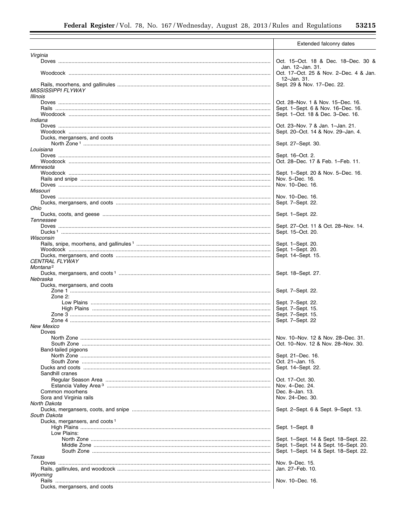$\equiv$ 

|                                           | Extended falconry dates                                    |
|-------------------------------------------|------------------------------------------------------------|
| Virginia                                  |                                                            |
|                                           | Oct. 15-Oct. 18 & Dec. 18-Dec. 30 &                        |
|                                           | Jan. 12–Jan. 31.<br>Oct. 17-Oct. 25 & Nov. 2-Dec. 4 & Jan. |
|                                           | 12-Jan. 31.                                                |
| <b>MISSISSIPPI FLYWAY</b>                 | Sept. 29 & Nov. 17-Dec. 22.                                |
| Illinois                                  |                                                            |
|                                           | Oct. 28-Nov. 1 & Nov. 15-Dec. 16.                          |
|                                           | Sept. 1-Sept. 6 & Nov. 16-Dec. 16.                         |
| Indiana                                   | Sept. 1–Oct. 18 & Dec. 3–Dec. 16.                          |
|                                           | Oct. 23-Nov. 7 & Jan. 1-Jan. 21.                           |
|                                           | Sept. 20-Oct. 14 & Nov. 29-Jan. 4.                         |
| Ducks, mergansers, and coots              |                                                            |
|                                           | Sept. 27-Sept. 30.                                         |
| Louisiana                                 |                                                            |
|                                           | Sept. 16–Oct. 2.<br>Oct. 28-Dec. 17 & Feb. 1-Feb. 11.      |
| Minnesota                                 |                                                            |
|                                           | Sept. 1-Sept. 20 & Nov. 5-Dec. 16.                         |
|                                           | Nov. 5–Dec. 16.                                            |
|                                           | Nov. 10–Dec. 16.                                           |
| <b>Missouri</b>                           |                                                            |
|                                           | Nov. 10–Dec. 16.                                           |
| Ohio                                      | Sept. 7-Sept. 22.                                          |
|                                           | Sept. 1-Sept. 22.                                          |
| Tennessee                                 |                                                            |
|                                           | Sept. 27-Oct. 11 & Oct. 28-Nov. 14.                        |
|                                           | Sept. 15-Oct. 20.                                          |
| Wisconsin                                 | Sept. 1-Sept. 20.                                          |
|                                           | Sept. 1-Sept. 20.                                          |
|                                           | Sept. 14–Sept. 15.                                         |
| <b>CENTRAL FLYWAY</b>                     |                                                            |
| Montana <sup>2</sup>                      |                                                            |
|                                           | Sept. 18–Sept. 27.                                         |
| Nebraska<br>Ducks, mergansers, and coots  |                                                            |
|                                           | Sept. 7-Sept. 22.                                          |
| Zone $2$ :                                |                                                            |
|                                           | Sept. 7-Sept. 22.                                          |
|                                           | Sept. 7-Sept. 15.                                          |
|                                           | Sept. 7-Sept. 15.<br>Sept. 7-Sept. 22                      |
| <b>New Mexico</b>                         |                                                            |
| Doves                                     |                                                            |
|                                           | Nov. 10–Nov. 12 & Nov. 28–Dec. 31.                         |
|                                           | Oct. 10–Nov. 12 & Nov. 28–Nov. 30.                         |
| Band-tailed pigeons                       |                                                            |
|                                           | Sept. 21–Dec. 16.<br>Oct. 21-Jan. 15.                      |
|                                           | Sept. 14-Sept. 22.                                         |
| Sandhill cranes                           |                                                            |
|                                           | Oct. 17-Oct. 30.                                           |
|                                           | Nov. 4-Dec. 24.                                            |
| Common moorhens                           | Dec. 8-Jan. 13.                                            |
| Sora and Virginia rails                   | Nov. 24–Dec. 30.                                           |
| North Dakota                              | Sept. 2-Sept. 6 & Sept. 9-Sept. 13.                        |
| South Dakota                              |                                                            |
| Ducks, mergansers, and coots <sup>1</sup> |                                                            |
|                                           | Sept. 1-Sept. 8                                            |
| Low Plains:                               |                                                            |
|                                           | Sept. 1-Sept. 14 & Sept. 18-Sept. 22.                      |
|                                           | Sept. 1-Sept. 14 & Sept. 16-Sept. 20.                      |
| Texas                                     | Sept. 1-Sept. 14 & Sept. 18-Sept. 22.                      |
|                                           | Nov. 9–Dec. 15.                                            |
|                                           | Jan. 27-Feb. 10.                                           |
| Wyoming                                   |                                                            |
|                                           | Nov. 10–Dec. 16.                                           |
| Ducks, mergansers, and coots              |                                                            |